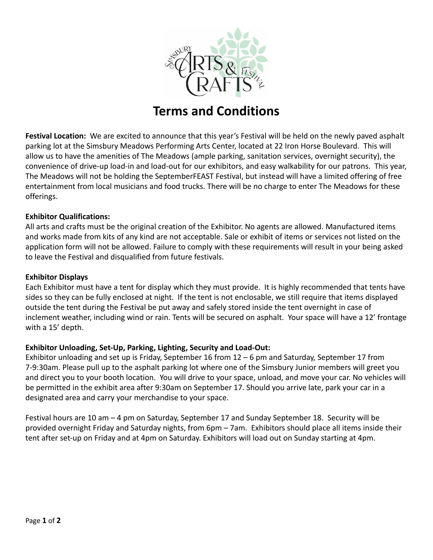

# **Terms and Conditions**

**Festival Location:** We are excited to announce that this year's Festival will be held on the newly paved asphalt parking lot at the Simsbury Meadows Performing Arts Center, located at 22 Iron Horse Boulevard. This will allow us to have the amenities of The Meadows (ample parking, sanitation services, overnight security), the convenience of drive-up load-in and load-out for our exhibitors, and easy walkability for our patrons. This year, The Meadows will not be holding the SeptemberFEAST Festival, but instead will have a limited offering of free entertainment from local musicians and food trucks. There will be no charge to enter The Meadows for these offerings.

#### **Exhibitor Qualifications:**

All arts and crafts must be the original creation of the Exhibitor. No agents are allowed. Manufactured items and works made from kits of any kind are not acceptable. Sale or exhibit of items or services not listed on the application form will not be allowed. Failure to comply with these requirements will result in your being asked to leave the Festival and disqualified from future festivals.

#### **Exhibitor Displays**

Each Exhibitor must have a tent for display which they must provide. It is highly recommended that tents have sides so they can be fully enclosed at night. If the tent is not enclosable, we still require that items displayed outside the tent during the Festival be put away and safely stored inside the tent overnight in case of inclement weather, including wind or rain. Tents will be secured on asphalt. Your space will have a 12' frontage with a 15' depth.

#### **Exhibitor Unloading, Set-Up, Parking, Lighting, Security and Load-Out:**

Exhibitor unloading and set up is Friday, September 16 from 12 – 6 pm and Saturday, September 17 from 7-9:30am. Please pull up to the asphalt parking lot where one of the Simsbury Junior members will greet you and direct you to your booth location. You will drive to your space, unload, and move your car. No vehicles will be permitted in the exhibit area after 9:30am on September 17. Should you arrive late, park your car in a designated area and carry your merchandise to your space.

Festival hours are 10 am – 4 pm on Saturday, September 17 and Sunday September 18. Security will be provided overnight Friday and Saturday nights, from 6pm – 7am. Exhibitors should place all items inside their tent after set-up on Friday and at 4pm on Saturday. Exhibitors will load out on Sunday starting at 4pm.